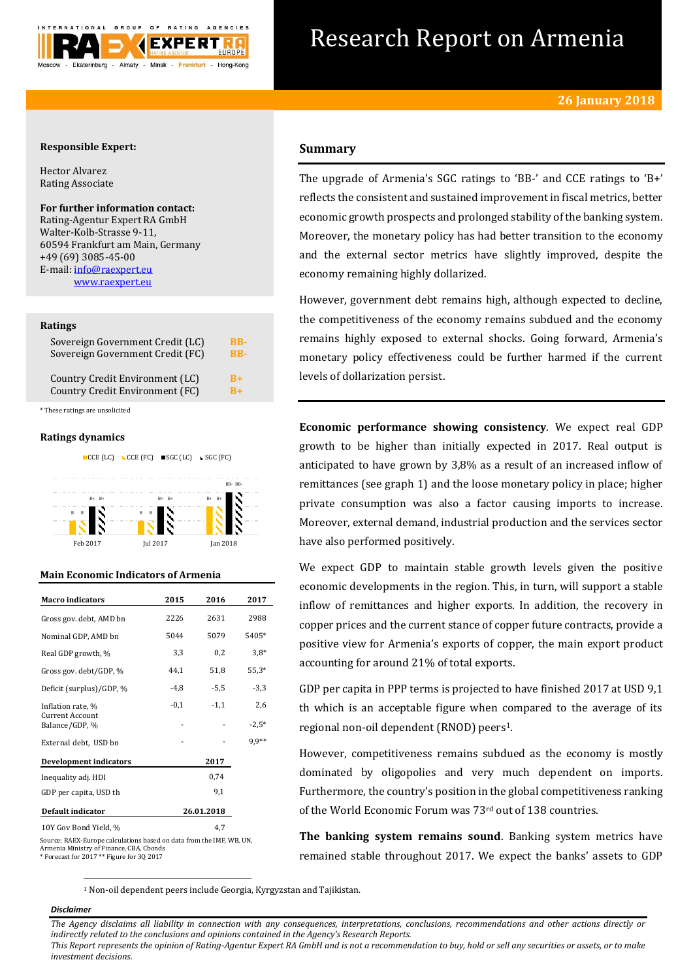

# Research Report on Armenia

### **Responsible Expert:**

Hector Alvarez Rating Associate

**For further information contact:** Rating-Agentur Expert RA GmbH Walter-Kolb-Strasse 9-11, 60594 Frankfurt am Main, Germany +49 (69) 3085-45-00 E-mail: [info@raexpert.eu](mailto:info@raexpert.eu)

[www.raexpert.eu](http://raexpert.eu/)

### **Ratings**

| Sovereign Government Credit (LC) | <b>BB-</b> |
|----------------------------------|------------|
| Sovereign Government Credit (FC) | <b>BB-</b> |
| Country Credit Environment (LC)  | $B+$       |
| Country Credit Environment (FC)  | $B+$       |

\* These ratings are unsolicited

### **Ratings dynamics**



### **Main Economic Indicators of Armenia**

| <b>Macro</b> indicators           | 2015       | 2016   | 2017    |
|-----------------------------------|------------|--------|---------|
| Gross gov. debt, AMD bn           | 2226       | 2631   | 2988    |
| Nominal GDP, AMD bn               | 5044       | 5079   | 5405*   |
| Real GDP growth, %                | 3,3        | 0,2    | $3.8*$  |
| Gross gov. debt/GDP, %            | 44.1       | 51,8   | $55,3*$ |
| Deficit (surplus)/GDP, %          | $-4,8$     | $-5,5$ | $-3,3$  |
| Inflation rate, %                 | $-0,1$     | $-1,1$ | 2,6     |
| Current Account<br>Balance/GDP, % |            |        | $-2.5*$ |
| External debt, USD bn             |            |        | 9.9**   |
| <b>Development indicators</b>     |            | 2017   |         |
| Inequality adj. HDI               |            | 0,74   |         |
| GDP per capita, USD th            |            | 9,1    |         |
| Default indicator                 | 26.01.2018 |        |         |
| 10Y Gov Bond Yield, %             |            | 4.7    |         |

Source: RAEX-Europe calculations based on data from the IMF, WB, UN, Armenia Ministry of Finance, CBA, Cbonds \* Forecast for 2017 \*\* Figure for 3Q 2017

# **Summary**

The upgrade of Armenia's SGC ratings to 'BB-' and CCE ratings to 'B+' reflects the consistent and sustained improvement in fiscal metrics, better economic growth prospects and prolonged stability of the banking system. Moreover, the monetary policy has had better transition to the economy and the external sector metrics have slightly improved, despite the economy remaining highly dollarized.

However, government debt remains high, although expected to decline, the competitiveness of the economy remains subdued and the economy remains highly exposed to external shocks. Going forward, Armenia's monetary policy effectiveness could be further harmed if the current levels of dollarization persist.

**Economic performance showing consistency**. We expect real GDP growth to be higher than initially expected in 2017. Real output is anticipated to have grown by 3,8% as a result of an increased inflow of remittances (see graph 1) and the loose monetary policy in place; higher private consumption was also a factor causing imports to increase. Moreover, external demand, industrial production and the services sector have also performed positively.

We expect GDP to maintain stable growth levels given the positive economic developments in the region. This, in turn, will support a stable inflow of remittances and higher exports. In addition, the recovery in copper prices and the current stance of copper future contracts, provide a positive view for Armenia's exports of copper, the main export product accounting for around 21% of total exports.

GDP per capita in PPP terms is projected to have finished 2017 at USD 9,1 th which is an acceptable figure when compared to the average of its regional non-oil dependent (RNOD) peers1.

However, competitiveness remains subdued as the economy is mostly dominated by oligopolies and very much dependent on imports. Furthermore, the country's position in the global competitiveness ranking of the World Economic Forum was 73rd out of 138 countries.

**The banking system remains sound**. Banking system metrics have remained stable throughout 2017. We expect the banks' assets to GDP

<sup>1</sup> Non-oil dependent peers include Georgia, Kyrgyzstan and Tajikistan.

### *Disclaimer*

1

*The Agency disclaims all liability in connection with any consequences, interpretations, conclusions, recommendations and other actions directly or indirectly related to the conclusions and opinions contained in the Agency's Research Reports.*

*This Report represents the opinion of Rating-Agentur Expert RA GmbH and is not a recommendation to buy, hold or sell any securities or assets, or to make investment decisions.*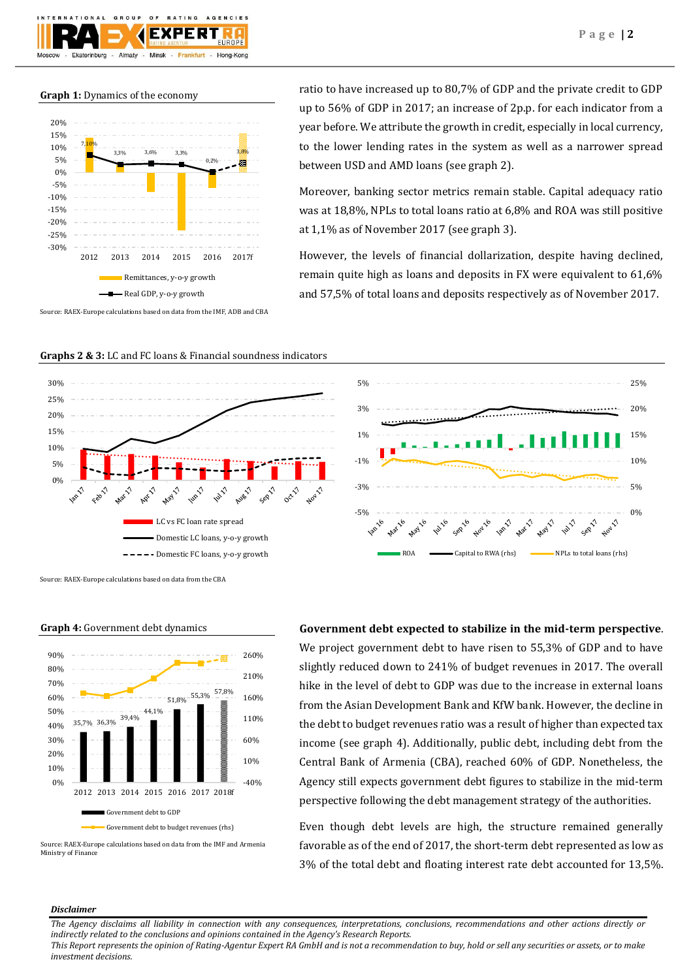# **Graph 1:** Dynamics of the economy

Almaty

Ekaterinburg



 $\circ$ 

Minek

Eropleture

AGENCIES

Hong-Kong

ratio to have increased up to 80,7% of GDP and the private credit to GDP up to 56% of GDP in 2017; an increase of 2p.p. for each indicator from a year before. We attribute the growth in credit, especially in local currency, to the lower lending rates in the system as well as a narrower spread between USD and AMD loans (see graph 2).

Moreover, banking sector metrics remain stable. Capital adequacy ratio was at 18,8%, NPLs to total loans ratio at 6,8% and ROA was still positive at 1,1% as of November 2017 (see graph 3).

However, the levels of financial dollarization, despite having declined, remain quite high as loans and deposits in FX were equivalent to 61,6% and 57,5% of total loans and deposits respectively as of November 2017.

Source: RAEX-Europe calculations based on data from the IMF, ADB and CBA

**Graphs 2 & 3:** LC and FC loans & Financial soundness indicators





Source: RAEX-Europe calculations based on data from the CBA



### **Graph 4:** Government debt dynamics

Source: RAEX-Europe calculations based on data from the IMF and Armenia Ministry of Finance

# **Government debt expected to stabilize in the mid-term perspective**.

We project government debt to have risen to 55.3% of GDP and to have slightly reduced down to 241% of budget revenues in 2017. The overall hike in the level of debt to GDP was due to the increase in external loans from the Asian Development Bank and KfW bank. However, the decline in the debt to budget revenues ratio was a result of higher than expected tax income (see graph 4). Additionally, public debt, including debt from the Central Bank of Armenia (CBA), reached 60% of GDP. Nonetheless, the Agency still expects government debt figures to stabilize in the mid-term perspective following the debt management strategy of the authorities.

Even though debt levels are high, the structure remained generally favorable as of the end of 2017, the short-term debt represented as low as 3% of the total debt and floating interest rate debt accounted for 13,5%.

### *Disclaimer*

*The Agency disclaims all liability in connection with any consequences, interpretations, conclusions, recommendations and other actions directly or indirectly related to the conclusions and opinions contained in the Agency's Research Reports.*

*This Report represents the opinion of Rating-Agentur Expert RA GmbH and is not a recommendation to buy, hold or sell any securities or assets, or to make investment decisions.*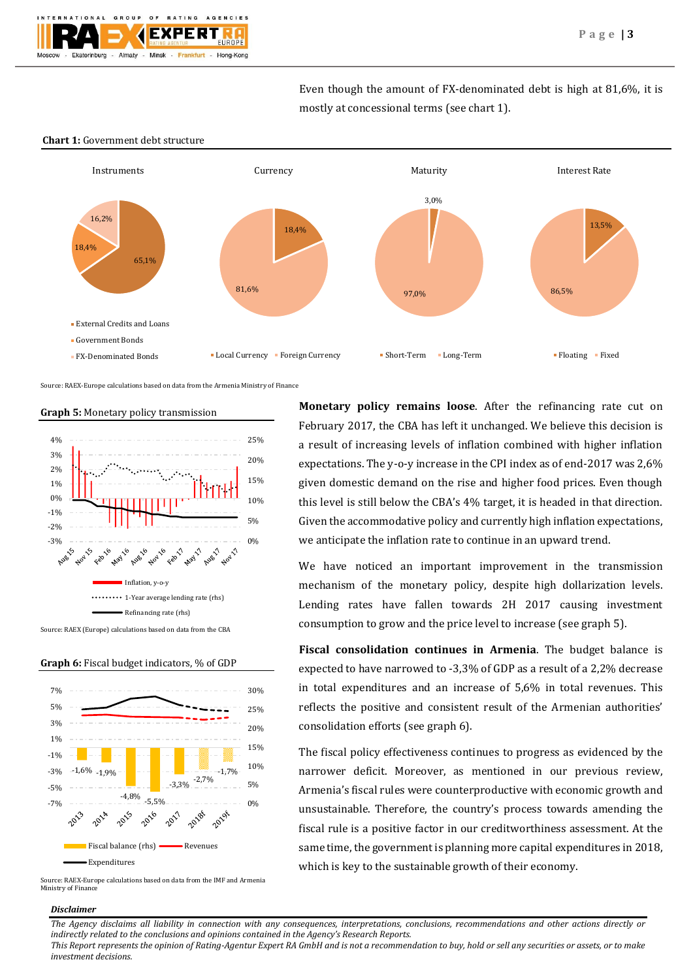Even though the amount of FX-denominated debt is high at 81,6%, it is mostly at concessional terms (see chart 1).



### **Chart 1:** Government debt structure

Source: RAEX-Europe calculations based on data from the Armenia Ministry of Finance









Source: RAEX-Europe calculations based on data from the IMF and Armenia Ministry of Finance

### *Disclaimer*

**Monetary policy remains loose**. After the refinancing rate cut on February 2017, the CBA has left it unchanged. We believe this decision is a result of increasing levels of inflation combined with higher inflation expectations. The y-o-y increase in the CPI index as of end-2017 was 2,6% given domestic demand on the rise and higher food prices. Even though this level is still below the CBA's 4% target, it is headed in that direction. Given the accommodative policy and currently high inflation expectations, we anticipate the inflation rate to continue in an upward trend.

We have noticed an important improvement in the transmission mechanism of the monetary policy, despite high dollarization levels. Lending rates have fallen towards 2H 2017 causing investment consumption to grow and the price level to increase (see graph 5).

**Fiscal consolidation continues in Armenia**. The budget balance is expected to have narrowed to -3,3% of GDP as a result of a 2,2% decrease in total expenditures and an increase of 5,6% in total revenues. This reflects the positive and consistent result of the Armenian authorities' consolidation efforts (see graph 6).

The fiscal policy effectiveness continues to progress as evidenced by the narrower deficit. Moreover, as mentioned in our previous review, Armenia's fiscal rules were counterproductive with economic growth and unsustainable. Therefore, the country's process towards amending the fiscal rule is a positive factor in our creditworthiness assessment. At the same time, the government is planning more capital expenditures in 2018, which is key to the sustainable growth of their economy.

*The Agency disclaims all liability in connection with any consequences, interpretations, conclusions, recommendations and other actions directly or indirectly related to the conclusions and opinions contained in the Agency's Research Reports.*

*This Report represents the opinion of Rating-Agentur Expert RA GmbH and is not a recommendation to buy, hold or sell any securities or assets, or to make investment decisions.*